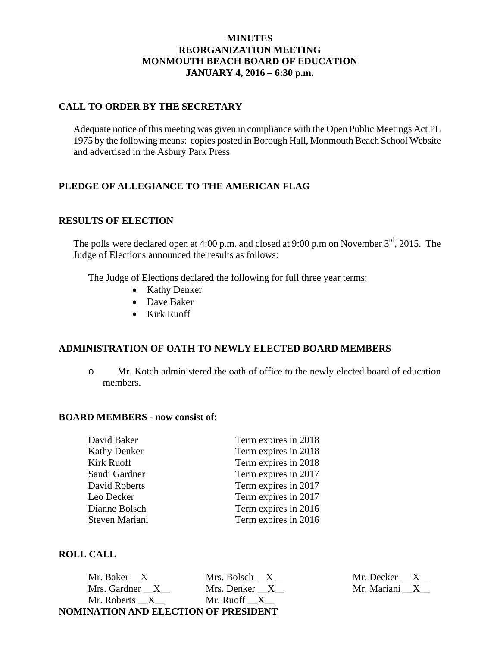### **MINUTES REORGANIZATION MEETING MONMOUTH BEACH BOARD OF EDUCATION JANUARY 4, 2016 – 6:30 p.m.**

### **CALL TO ORDER BY THE SECRETARY**

Adequate notice of this meeting was given in compliance with the Open Public Meetings Act PL 1975 by the following means: copies posted in Borough Hall, Monmouth Beach School Website and advertised in the Asbury Park Press

## **PLEDGE OF ALLEGIANCE TO THE AMERICAN FLAG**

#### **RESULTS OF ELECTION**

The polls were declared open at 4:00 p.m. and closed at 9:00 p.m on November  $3<sup>rd</sup>$ , 2015. The Judge of Elections announced the results as follows:

The Judge of Elections declared the following for full three year terms:

- Kathy Denker
- Dave Baker
- Kirk Ruoff

#### **ADMINISTRATION OF OATH TO NEWLY ELECTED BOARD MEMBERS**

o Mr. Kotch administered the oath of office to the newly elected board of education members.

#### **BOARD MEMBERS - now consist of:**

| David Baker         | Term expires in 2018 |
|---------------------|----------------------|
| <b>Kathy Denker</b> | Term expires in 2018 |
| Kirk Ruoff          | Term expires in 2018 |
| Sandi Gardner       | Term expires in 2017 |
| David Roberts       | Term expires in 2017 |
| Leo Decker          | Term expires in 2017 |
| Dianne Bolsch       | Term expires in 2016 |
| Steven Mariani      | Term expires in 2016 |
|                     |                      |

#### **ROLL CALL**

Mr. Baker \_\_X\_\_ Mrs. Bolsch \_\_X\_\_ Mr. Decker \_\_X\_\_ Mrs. Gardner  $\_X$  Mrs. Denker  $\_X$  Mr. Mariani  $\_X$ Mr. Roberts  $X_$  Mr. Ruoff  $X_$ **NOMINATION AND ELECTION OF PRESIDENT**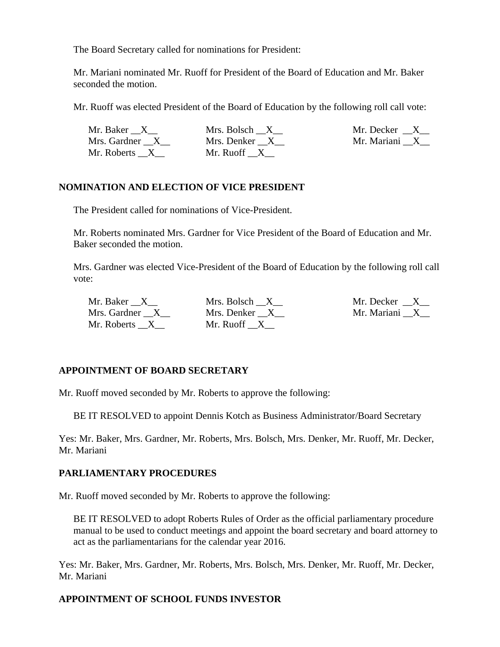The Board Secretary called for nominations for President:

Mr. Mariani nominated Mr. Ruoff for President of the Board of Education and Mr. Baker seconded the motion.

Mr. Ruoff was elected President of the Board of Education by the following roll call vote:

| Mr. Baker X    | Mrs. Bolsch X | Mr. Decker $\_\ X$ |
|----------------|---------------|--------------------|
| Mrs. Gardner X | Mrs. Denker X | Mr. Mariani X      |
| Mr. Roberts X  | Mr. Ruoff X   |                    |

## **NOMINATION AND ELECTION OF VICE PRESIDENT**

The President called for nominations of Vice-President.

Mr. Roberts nominated Mrs. Gardner for Vice President of the Board of Education and Mr. Baker seconded the motion.

Mrs. Gardner was elected Vice-President of the Board of Education by the following roll call vote:

| Mr. Baker X    | Mrs. Bolsch X | Mr. Decker X  |
|----------------|---------------|---------------|
| Mrs. Gardner X | Mrs. Denker X | Mr. Mariani X |
| Mr. Roberts X  | Mr. Ruoff X   |               |

# **APPOINTMENT OF BOARD SECRETARY**

Mr. Ruoff moved seconded by Mr. Roberts to approve the following:

BE IT RESOLVED to appoint Dennis Kotch as Business Administrator/Board Secretary

Yes: Mr. Baker, Mrs. Gardner, Mr. Roberts, Mrs. Bolsch, Mrs. Denker, Mr. Ruoff, Mr. Decker, Mr. Mariani

## **PARLIAMENTARY PROCEDURES**

Mr. Ruoff moved seconded by Mr. Roberts to approve the following:

BE IT RESOLVED to adopt Roberts Rules of Order as the official parliamentary procedure manual to be used to conduct meetings and appoint the board secretary and board attorney to act as the parliamentarians for the calendar year 2016.

Yes: Mr. Baker, Mrs. Gardner, Mr. Roberts, Mrs. Bolsch, Mrs. Denker, Mr. Ruoff, Mr. Decker, Mr. Mariani

## **APPOINTMENT OF SCHOOL FUNDS INVESTOR**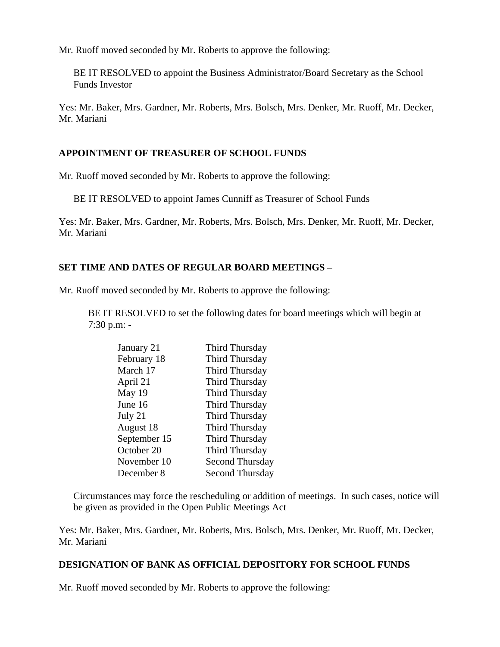Mr. Ruoff moved seconded by Mr. Roberts to approve the following:

BE IT RESOLVED to appoint the Business Administrator/Board Secretary as the School Funds Investor

Yes: Mr. Baker, Mrs. Gardner, Mr. Roberts, Mrs. Bolsch, Mrs. Denker, Mr. Ruoff, Mr. Decker, Mr. Mariani

### **APPOINTMENT OF TREASURER OF SCHOOL FUNDS**

Mr. Ruoff moved seconded by Mr. Roberts to approve the following:

BE IT RESOLVED to appoint James Cunniff as Treasurer of School Funds

Yes: Mr. Baker, Mrs. Gardner, Mr. Roberts, Mrs. Bolsch, Mrs. Denker, Mr. Ruoff, Mr. Decker, Mr. Mariani

### **SET TIME AND DATES OF REGULAR BOARD MEETINGS –**

Mr. Ruoff moved seconded by Mr. Roberts to approve the following:

BE IT RESOLVED to set the following dates for board meetings which will begin at 7:30 p.m: -

| January 21   | Third Thursday         |
|--------------|------------------------|
| February 18  | Third Thursday         |
| March 17     | Third Thursday         |
| April 21     | Third Thursday         |
| May 19       | Third Thursday         |
| June 16      | Third Thursday         |
| July 21      | Third Thursday         |
| August 18    | Third Thursday         |
| September 15 | Third Thursday         |
| October 20   | Third Thursday         |
| November 10  | <b>Second Thursday</b> |
| December 8   | Second Thursday        |

Circumstances may force the rescheduling or addition of meetings. In such cases, notice will be given as provided in the Open Public Meetings Act

Yes: Mr. Baker, Mrs. Gardner, Mr. Roberts, Mrs. Bolsch, Mrs. Denker, Mr. Ruoff, Mr. Decker, Mr. Mariani

#### **DESIGNATION OF BANK AS OFFICIAL DEPOSITORY FOR SCHOOL FUNDS**

Mr. Ruoff moved seconded by Mr. Roberts to approve the following: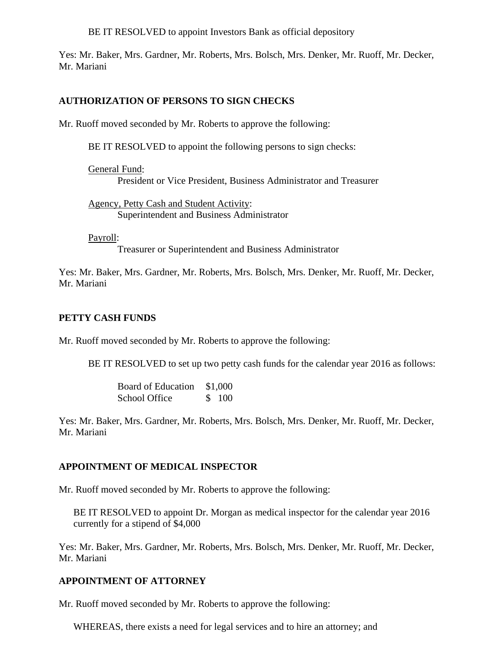BE IT RESOLVED to appoint Investors Bank as official depository

Yes: Mr. Baker, Mrs. Gardner, Mr. Roberts, Mrs. Bolsch, Mrs. Denker, Mr. Ruoff, Mr. Decker, Mr. Mariani

### **AUTHORIZATION OF PERSONS TO SIGN CHECKS**

Mr. Ruoff moved seconded by Mr. Roberts to approve the following:

BE IT RESOLVED to appoint the following persons to sign checks:

General Fund: President or Vice President, Business Administrator and Treasurer

Agency, Petty Cash and Student Activity: Superintendent and Business Administrator

Payroll:

Treasurer or Superintendent and Business Administrator

Yes: Mr. Baker, Mrs. Gardner, Mr. Roberts, Mrs. Bolsch, Mrs. Denker, Mr. Ruoff, Mr. Decker, Mr. Mariani

### **PETTY CASH FUNDS**

Mr. Ruoff moved seconded by Mr. Roberts to approve the following:

BE IT RESOLVED to set up two petty cash funds for the calendar year 2016 as follows:

 Board of Education \$1,000 School Office \$ 100

Yes: Mr. Baker, Mrs. Gardner, Mr. Roberts, Mrs. Bolsch, Mrs. Denker, Mr. Ruoff, Mr. Decker, Mr. Mariani

## **APPOINTMENT OF MEDICAL INSPECTOR**

Mr. Ruoff moved seconded by Mr. Roberts to approve the following:

BE IT RESOLVED to appoint Dr. Morgan as medical inspector for the calendar year 2016 currently for a stipend of \$4,000

Yes: Mr. Baker, Mrs. Gardner, Mr. Roberts, Mrs. Bolsch, Mrs. Denker, Mr. Ruoff, Mr. Decker, Mr. Mariani

## **APPOINTMENT OF ATTORNEY**

Mr. Ruoff moved seconded by Mr. Roberts to approve the following:

WHEREAS, there exists a need for legal services and to hire an attorney; and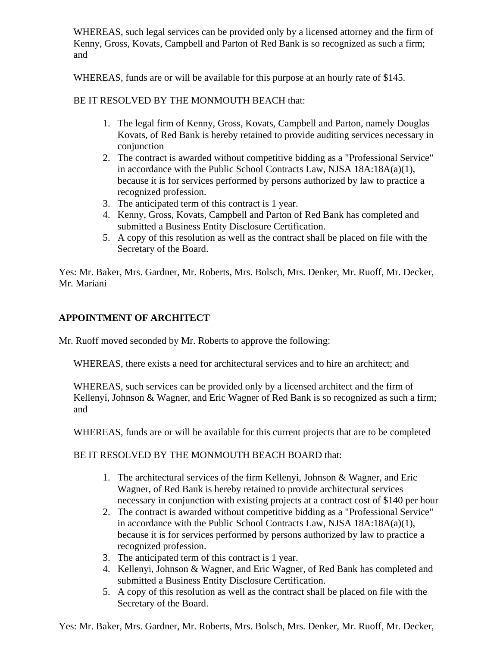WHEREAS, such legal services can be provided only by a licensed attorney and the firm of Kenny, Gross, Kovats, Campbell and Parton of Red Bank is so recognized as such a firm; and

WHEREAS, funds are or will be available for this purpose at an hourly rate of \$145.

## BE IT RESOLVED BY THE MONMOUTH BEACH that:

- 1. The legal firm of Kenny, Gross, Kovats, Campbell and Parton, namely Douglas Kovats, of Red Bank is hereby retained to provide auditing services necessary in conjunction
- 2. The contract is awarded without competitive bidding as a "Professional Service" in accordance with the Public School Contracts Law, NJSA 18A:18A(a)(1), because it is for services performed by persons authorized by law to practice a recognized profession.
- 3. The anticipated term of this contract is 1 year.
- 4. Kenny, Gross, Kovats, Campbell and Parton of Red Bank has completed and submitted a Business Entity Disclosure Certification.
- 5. A copy of this resolution as well as the contract shall be placed on file with the Secretary of the Board.

Yes: Mr. Baker, Mrs. Gardner, Mr. Roberts, Mrs. Bolsch, Mrs. Denker, Mr. Ruoff, Mr. Decker, Mr. Mariani

## **APPOINTMENT OF ARCHITECT**

Mr. Ruoff moved seconded by Mr. Roberts to approve the following:

WHEREAS, there exists a need for architectural services and to hire an architect; and

WHEREAS, such services can be provided only by a licensed architect and the firm of Kellenyi, Johnson & Wagner, and Eric Wagner of Red Bank is so recognized as such a firm; and

WHEREAS, funds are or will be available for this current projects that are to be completed

BE IT RESOLVED BY THE MONMOUTH BEACH BOARD that:

- 1. The architectural services of the firm Kellenyi, Johnson & Wagner, and Eric Wagner, of Red Bank is hereby retained to provide architectural services necessary in conjunction with existing projects at a contract cost of \$140 per hour
- 2. The contract is awarded without competitive bidding as a "Professional Service" in accordance with the Public School Contracts Law, NJSA 18A:18A(a)(1), because it is for services performed by persons authorized by law to practice a recognized profession.
- 3. The anticipated term of this contract is 1 year.
- 4. Kellenyi, Johnson & Wagner, and Eric Wagner, of Red Bank has completed and submitted a Business Entity Disclosure Certification.
- 5. A copy of this resolution as well as the contract shall be placed on file with the Secretary of the Board.

Yes: Mr. Baker, Mrs. Gardner, Mr. Roberts, Mrs. Bolsch, Mrs. Denker, Mr. Ruoff, Mr. Decker,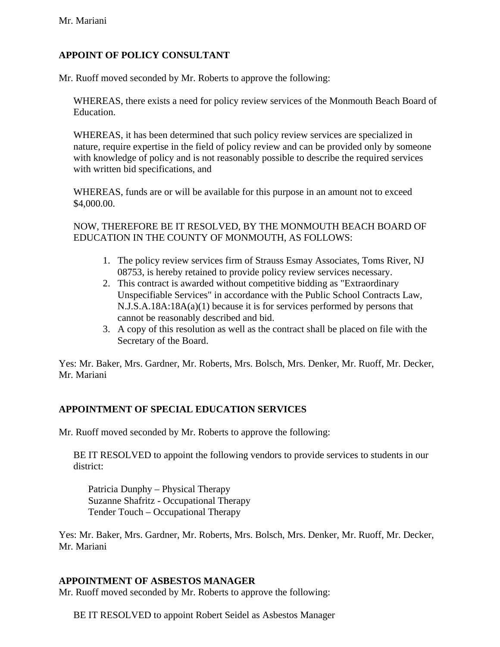# **APPOINT OF POLICY CONSULTANT**

Mr. Ruoff moved seconded by Mr. Roberts to approve the following:

WHEREAS, there exists a need for policy review services of the Monmouth Beach Board of Education.

WHEREAS, it has been determined that such policy review services are specialized in nature, require expertise in the field of policy review and can be provided only by someone with knowledge of policy and is not reasonably possible to describe the required services with written bid specifications, and

WHEREAS, funds are or will be available for this purpose in an amount not to exceed \$4,000.00.

NOW, THEREFORE BE IT RESOLVED, BY THE MONMOUTH BEACH BOARD OF EDUCATION IN THE COUNTY OF MONMOUTH, AS FOLLOWS:

- 1. The policy review services firm of Strauss Esmay Associates, Toms River, NJ 08753, is hereby retained to provide policy review services necessary.
- 2. This contract is awarded without competitive bidding as "Extraordinary Unspecifiable Services" in accordance with the Public School Contracts Law, N.J.S.A.18A:18A(a)(1) because it is for services performed by persons that cannot be reasonably described and bid.
- 3. A copy of this resolution as well as the contract shall be placed on file with the Secretary of the Board.

Yes: Mr. Baker, Mrs. Gardner, Mr. Roberts, Mrs. Bolsch, Mrs. Denker, Mr. Ruoff, Mr. Decker, Mr. Mariani

## **APPOINTMENT OF SPECIAL EDUCATION SERVICES**

Mr. Ruoff moved seconded by Mr. Roberts to approve the following:

BE IT RESOLVED to appoint the following vendors to provide services to students in our district:

 Patricia Dunphy – Physical Therapy Suzanne Shafritz - Occupational Therapy Tender Touch – Occupational Therapy

Yes: Mr. Baker, Mrs. Gardner, Mr. Roberts, Mrs. Bolsch, Mrs. Denker, Mr. Ruoff, Mr. Decker, Mr. Mariani

## **APPOINTMENT OF ASBESTOS MANAGER**

Mr. Ruoff moved seconded by Mr. Roberts to approve the following:

BE IT RESOLVED to appoint Robert Seidel as Asbestos Manager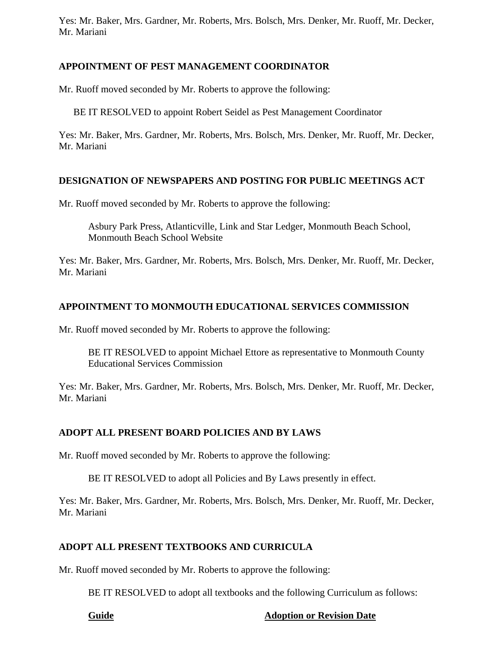Yes: Mr. Baker, Mrs. Gardner, Mr. Roberts, Mrs. Bolsch, Mrs. Denker, Mr. Ruoff, Mr. Decker, Mr. Mariani

## **APPOINTMENT OF PEST MANAGEMENT COORDINATOR**

Mr. Ruoff moved seconded by Mr. Roberts to approve the following:

BE IT RESOLVED to appoint Robert Seidel as Pest Management Coordinator

Yes: Mr. Baker, Mrs. Gardner, Mr. Roberts, Mrs. Bolsch, Mrs. Denker, Mr. Ruoff, Mr. Decker, Mr. Mariani

## **DESIGNATION OF NEWSPAPERS AND POSTING FOR PUBLIC MEETINGS ACT**

Mr. Ruoff moved seconded by Mr. Roberts to approve the following:

Asbury Park Press, Atlanticville, Link and Star Ledger, Monmouth Beach School, Monmouth Beach School Website

Yes: Mr. Baker, Mrs. Gardner, Mr. Roberts, Mrs. Bolsch, Mrs. Denker, Mr. Ruoff, Mr. Decker, Mr. Mariani

# **APPOINTMENT TO MONMOUTH EDUCATIONAL SERVICES COMMISSION**

Mr. Ruoff moved seconded by Mr. Roberts to approve the following:

BE IT RESOLVED to appoint Michael Ettore as representative to Monmouth County Educational Services Commission

Yes: Mr. Baker, Mrs. Gardner, Mr. Roberts, Mrs. Bolsch, Mrs. Denker, Mr. Ruoff, Mr. Decker, Mr. Mariani

# **ADOPT ALL PRESENT BOARD POLICIES AND BY LAWS**

Mr. Ruoff moved seconded by Mr. Roberts to approve the following:

BE IT RESOLVED to adopt all Policies and By Laws presently in effect.

Yes: Mr. Baker, Mrs. Gardner, Mr. Roberts, Mrs. Bolsch, Mrs. Denker, Mr. Ruoff, Mr. Decker, Mr. Mariani

# **ADOPT ALL PRESENT TEXTBOOKS AND CURRICULA**

Mr. Ruoff moved seconded by Mr. Roberts to approve the following:

BE IT RESOLVED to adopt all textbooks and the following Curriculum as follows:

#### **Guide Adoption or Revision Date**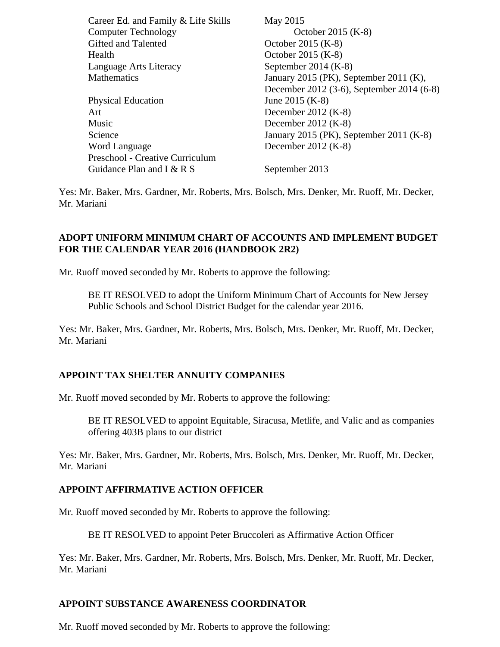| Career Ed. and Family & Life Skills | May 2015                                  |
|-------------------------------------|-------------------------------------------|
| <b>Computer Technology</b>          | October 2015 (K-8)                        |
| Gifted and Talented                 | October 2015 (K-8)                        |
| Health                              | October 2015 (K-8)                        |
| Language Arts Literacy              | September 2014 $(K-8)$                    |
| <b>Mathematics</b>                  | January 2015 (PK), September 2011 (K),    |
|                                     | December 2012 (3-6), September 2014 (6-8) |
| <b>Physical Education</b>           | June 2015 (K-8)                           |
| Art                                 | December $2012$ (K-8)                     |
| Music                               | December 2012 $(K-8)$                     |
| Science                             | January 2015 (PK), September 2011 (K-8)   |
| Word Language                       | December $2012$ (K-8)                     |
| Preschool - Creative Curriculum     |                                           |
| Guidance Plan and I & R S           | September 2013                            |

Yes: Mr. Baker, Mrs. Gardner, Mr. Roberts, Mrs. Bolsch, Mrs. Denker, Mr. Ruoff, Mr. Decker, Mr. Mariani

### **ADOPT UNIFORM MINIMUM CHART OF ACCOUNTS AND IMPLEMENT BUDGET FOR THE CALENDAR YEAR 2016 (HANDBOOK 2R2)**

Mr. Ruoff moved seconded by Mr. Roberts to approve the following:

BE IT RESOLVED to adopt the Uniform Minimum Chart of Accounts for New Jersey Public Schools and School District Budget for the calendar year 2016.

Yes: Mr. Baker, Mrs. Gardner, Mr. Roberts, Mrs. Bolsch, Mrs. Denker, Mr. Ruoff, Mr. Decker, Mr. Mariani

#### **APPOINT TAX SHELTER ANNUITY COMPANIES**

Mr. Ruoff moved seconded by Mr. Roberts to approve the following:

BE IT RESOLVED to appoint Equitable, Siracusa, Metlife, and Valic and as companies offering 403B plans to our district

Yes: Mr. Baker, Mrs. Gardner, Mr. Roberts, Mrs. Bolsch, Mrs. Denker, Mr. Ruoff, Mr. Decker, Mr. Mariani

#### **APPOINT AFFIRMATIVE ACTION OFFICER**

Mr. Ruoff moved seconded by Mr. Roberts to approve the following:

BE IT RESOLVED to appoint Peter Bruccoleri as Affirmative Action Officer

Yes: Mr. Baker, Mrs. Gardner, Mr. Roberts, Mrs. Bolsch, Mrs. Denker, Mr. Ruoff, Mr. Decker, Mr. Mariani

#### **APPOINT SUBSTANCE AWARENESS COORDINATOR**

Mr. Ruoff moved seconded by Mr. Roberts to approve the following: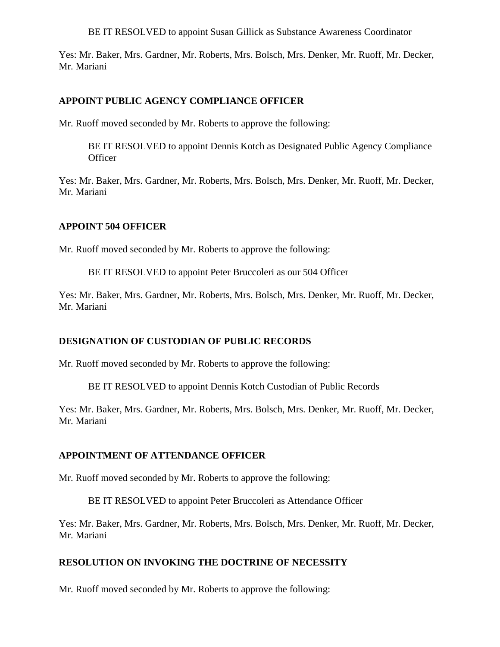BE IT RESOLVED to appoint Susan Gillick as Substance Awareness Coordinator

Yes: Mr. Baker, Mrs. Gardner, Mr. Roberts, Mrs. Bolsch, Mrs. Denker, Mr. Ruoff, Mr. Decker, Mr. Mariani

### **APPOINT PUBLIC AGENCY COMPLIANCE OFFICER**

Mr. Ruoff moved seconded by Mr. Roberts to approve the following:

BE IT RESOLVED to appoint Dennis Kotch as Designated Public Agency Compliance **Officer** 

Yes: Mr. Baker, Mrs. Gardner, Mr. Roberts, Mrs. Bolsch, Mrs. Denker, Mr. Ruoff, Mr. Decker, Mr. Mariani

#### **APPOINT 504 OFFICER**

Mr. Ruoff moved seconded by Mr. Roberts to approve the following:

BE IT RESOLVED to appoint Peter Bruccoleri as our 504 Officer

Yes: Mr. Baker, Mrs. Gardner, Mr. Roberts, Mrs. Bolsch, Mrs. Denker, Mr. Ruoff, Mr. Decker, Mr. Mariani

## **DESIGNATION OF CUSTODIAN OF PUBLIC RECORDS**

Mr. Ruoff moved seconded by Mr. Roberts to approve the following:

BE IT RESOLVED to appoint Dennis Kotch Custodian of Public Records

Yes: Mr. Baker, Mrs. Gardner, Mr. Roberts, Mrs. Bolsch, Mrs. Denker, Mr. Ruoff, Mr. Decker, Mr. Mariani

#### **APPOINTMENT OF ATTENDANCE OFFICER**

Mr. Ruoff moved seconded by Mr. Roberts to approve the following:

BE IT RESOLVED to appoint Peter Bruccoleri as Attendance Officer

Yes: Mr. Baker, Mrs. Gardner, Mr. Roberts, Mrs. Bolsch, Mrs. Denker, Mr. Ruoff, Mr. Decker, Mr. Mariani

## **RESOLUTION ON INVOKING THE DOCTRINE OF NECESSITY**

Mr. Ruoff moved seconded by Mr. Roberts to approve the following: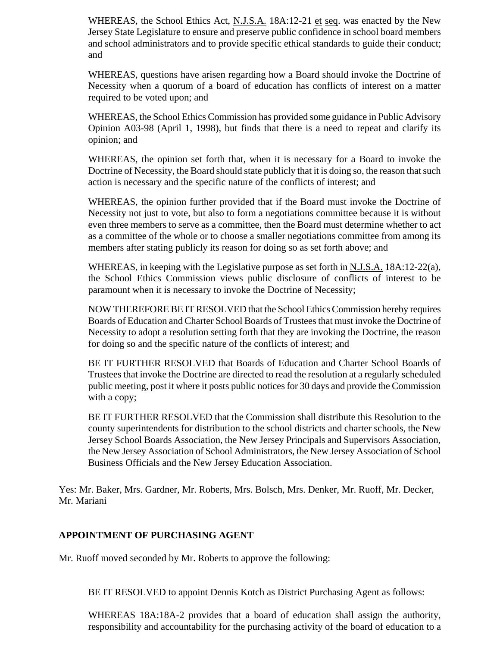WHEREAS, the School Ethics Act, N.J.S.A. 18A:12-21 et seq. was enacted by the New Jersey State Legislature to ensure and preserve public confidence in school board members and school administrators and to provide specific ethical standards to guide their conduct; and

WHEREAS, questions have arisen regarding how a Board should invoke the Doctrine of Necessity when a quorum of a board of education has conflicts of interest on a matter required to be voted upon; and

WHEREAS, the School Ethics Commission has provided some guidance in Public Advisory Opinion A03-98 (April 1, 1998), but finds that there is a need to repeat and clarify its opinion; and

WHEREAS, the opinion set forth that, when it is necessary for a Board to invoke the Doctrine of Necessity, the Board should state publicly that it is doing so, the reason that such action is necessary and the specific nature of the conflicts of interest; and

WHEREAS, the opinion further provided that if the Board must invoke the Doctrine of Necessity not just to vote, but also to form a negotiations committee because it is without even three members to serve as a committee, then the Board must determine whether to act as a committee of the whole or to choose a smaller negotiations committee from among its members after stating publicly its reason for doing so as set forth above; and

WHEREAS, in keeping with the Legislative purpose as set forth in N.J.S.A. 18A:12-22(a), the School Ethics Commission views public disclosure of conflicts of interest to be paramount when it is necessary to invoke the Doctrine of Necessity;

NOW THEREFORE BE IT RESOLVED that the School Ethics Commission hereby requires Boards of Education and Charter School Boards of Trustees that must invoke the Doctrine of Necessity to adopt a resolution setting forth that they are invoking the Doctrine, the reason for doing so and the specific nature of the conflicts of interest; and

BE IT FURTHER RESOLVED that Boards of Education and Charter School Boards of Trustees that invoke the Doctrine are directed to read the resolution at a regularly scheduled public meeting, post it where it posts public notices for 30 days and provide the Commission with a copy;

BE IT FURTHER RESOLVED that the Commission shall distribute this Resolution to the county superintendents for distribution to the school districts and charter schools, the New Jersey School Boards Association, the New Jersey Principals and Supervisors Association, the New Jersey Association of School Administrators, the New Jersey Association of School Business Officials and the New Jersey Education Association.

Yes: Mr. Baker, Mrs. Gardner, Mr. Roberts, Mrs. Bolsch, Mrs. Denker, Mr. Ruoff, Mr. Decker, Mr. Mariani

## **APPOINTMENT OF PURCHASING AGENT**

Mr. Ruoff moved seconded by Mr. Roberts to approve the following:

BE IT RESOLVED to appoint Dennis Kotch as District Purchasing Agent as follows:

WHEREAS 18A:18A-2 provides that a board of education shall assign the authority, responsibility and accountability for the purchasing activity of the board of education to a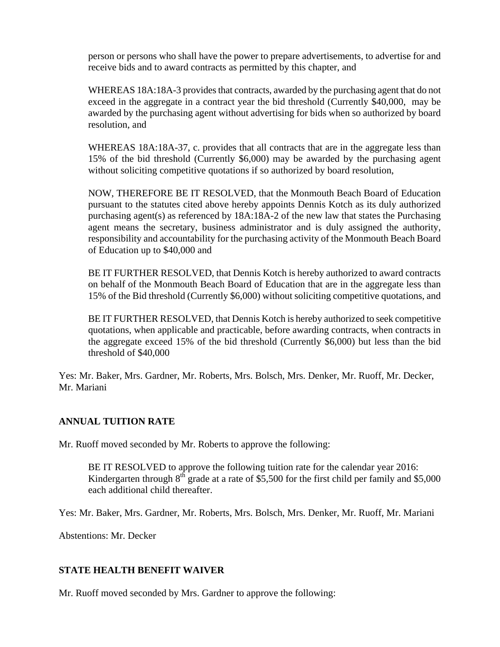person or persons who shall have the power to prepare advertisements, to advertise for and receive bids and to award contracts as permitted by this chapter, and

WHEREAS 18A:18A-3 provides that contracts, awarded by the purchasing agent that do not exceed in the aggregate in a contract year the bid threshold (Currently \$40,000, may be awarded by the purchasing agent without advertising for bids when so authorized by board resolution, and

WHEREAS 18A:18A-37, c. provides that all contracts that are in the aggregate less than 15% of the bid threshold (Currently \$6,000) may be awarded by the purchasing agent without soliciting competitive quotations if so authorized by board resolution,

NOW, THEREFORE BE IT RESOLVED, that the Monmouth Beach Board of Education pursuant to the statutes cited above hereby appoints Dennis Kotch as its duly authorized purchasing agent(s) as referenced by 18A:18A-2 of the new law that states the Purchasing agent means the secretary, business administrator and is duly assigned the authority, responsibility and accountability for the purchasing activity of the Monmouth Beach Board of Education up to \$40,000 and

BE IT FURTHER RESOLVED, that Dennis Kotch is hereby authorized to award contracts on behalf of the Monmouth Beach Board of Education that are in the aggregate less than 15% of the Bid threshold (Currently \$6,000) without soliciting competitive quotations, and

BE IT FURTHER RESOLVED, that Dennis Kotch is hereby authorized to seek competitive quotations, when applicable and practicable, before awarding contracts, when contracts in the aggregate exceed 15% of the bid threshold (Currently \$6,000) but less than the bid threshold of \$40,000

Yes: Mr. Baker, Mrs. Gardner, Mr. Roberts, Mrs. Bolsch, Mrs. Denker, Mr. Ruoff, Mr. Decker, Mr. Mariani

## **ANNUAL TUITION RATE**

Mr. Ruoff moved seconded by Mr. Roberts to approve the following:

BE IT RESOLVED to approve the following tuition rate for the calendar year 2016: Kindergarten through  $8^{th}$  grade at a rate of \$5,500 for the first child per family and \$5,000 each additional child thereafter.

Yes: Mr. Baker, Mrs. Gardner, Mr. Roberts, Mrs. Bolsch, Mrs. Denker, Mr. Ruoff, Mr. Mariani

Abstentions: Mr. Decker

## **STATE HEALTH BENEFIT WAIVER**

Mr. Ruoff moved seconded by Mrs. Gardner to approve the following: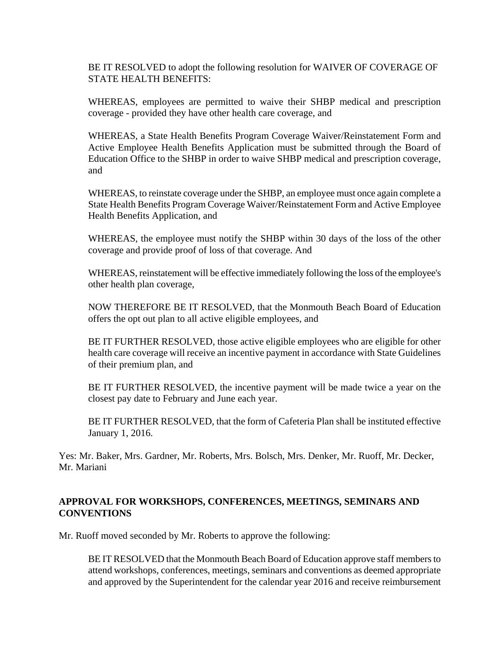BE IT RESOLVED to adopt the following resolution for WAIVER OF COVERAGE OF STATE HEALTH BENEFITS:

WHEREAS, employees are permitted to waive their SHBP medical and prescription coverage - provided they have other health care coverage, and

WHEREAS, a State Health Benefits Program Coverage Waiver/Reinstatement Form and Active Employee Health Benefits Application must be submitted through the Board of Education Office to the SHBP in order to waive SHBP medical and prescription coverage, and

WHEREAS, to reinstate coverage under the SHBP, an employee must once again complete a State Health Benefits Program Coverage Waiver/Reinstatement Form and Active Employee Health Benefits Application, and

WHEREAS, the employee must notify the SHBP within 30 days of the loss of the other coverage and provide proof of loss of that coverage. And

WHEREAS, reinstatement will be effective immediately following the loss of the employee's other health plan coverage,

NOW THEREFORE BE IT RESOLVED, that the Monmouth Beach Board of Education offers the opt out plan to all active eligible employees, and

BE IT FURTHER RESOLVED, those active eligible employees who are eligible for other health care coverage will receive an incentive payment in accordance with State Guidelines of their premium plan, and

BE IT FURTHER RESOLVED, the incentive payment will be made twice a year on the closest pay date to February and June each year.

BE IT FURTHER RESOLVED, that the form of Cafeteria Plan shall be instituted effective January 1, 2016.

Yes: Mr. Baker, Mrs. Gardner, Mr. Roberts, Mrs. Bolsch, Mrs. Denker, Mr. Ruoff, Mr. Decker, Mr. Mariani

### **APPROVAL FOR WORKSHOPS, CONFERENCES, MEETINGS, SEMINARS AND CONVENTIONS**

Mr. Ruoff moved seconded by Mr. Roberts to approve the following:

BE IT RESOLVED that the Monmouth Beach Board of Education approve staff members to attend workshops, conferences, meetings, seminars and conventions as deemed appropriate and approved by the Superintendent for the calendar year 2016 and receive reimbursement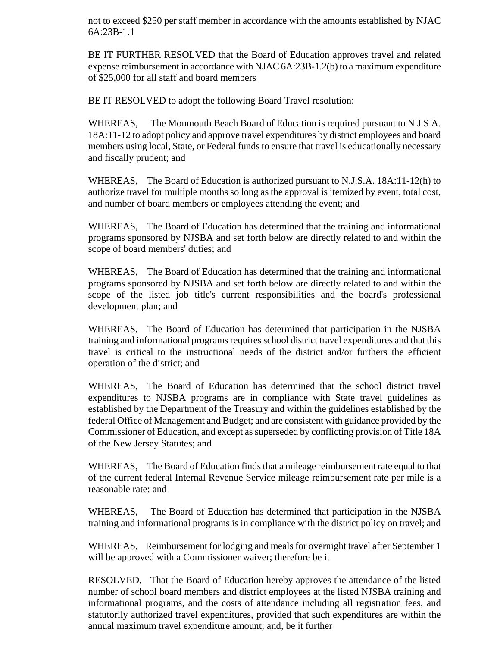not to exceed \$250 per staff member in accordance with the amounts established by NJAC 6A:23B-1.1

BE IT FURTHER RESOLVED that the Board of Education approves travel and related expense reimbursement in accordance with NJAC 6A:23B-1.2(b) to a maximum expenditure of \$25,000 for all staff and board members

BE IT RESOLVED to adopt the following Board Travel resolution:

WHEREAS, The Monmouth Beach Board of Education is required pursuant to N.J.S.A. 18A:11-12 to adopt policy and approve travel expenditures by district employees and board members using local, State, or Federal funds to ensure that travel is educationally necessary and fiscally prudent; and

WHEREAS, The Board of Education is authorized pursuant to N.J.S.A. 18A:11-12(h) to authorize travel for multiple months so long as the approval is itemized by event, total cost, and number of board members or employees attending the event; and

WHEREAS, The Board of Education has determined that the training and informational programs sponsored by NJSBA and set forth below are directly related to and within the scope of board members' duties; and

WHEREAS, The Board of Education has determined that the training and informational programs sponsored by NJSBA and set forth below are directly related to and within the scope of the listed job title's current responsibilities and the board's professional development plan; and

WHEREAS, The Board of Education has determined that participation in the NJSBA training and informational programs requires school district travel expenditures and that this travel is critical to the instructional needs of the district and/or furthers the efficient operation of the district; and

WHEREAS, The Board of Education has determined that the school district travel expenditures to NJSBA programs are in compliance with State travel guidelines as established by the Department of the Treasury and within the guidelines established by the federal Office of Management and Budget; and are consistent with guidance provided by the Commissioner of Education, and except as superseded by conflicting provision of Title 18A of the New Jersey Statutes; and

WHEREAS, The Board of Education finds that a mileage reimbursement rate equal to that of the current federal Internal Revenue Service mileage reimbursement rate per mile is a reasonable rate; and

WHEREAS, The Board of Education has determined that participation in the NJSBA training and informational programs is in compliance with the district policy on travel; and

WHEREAS, Reimbursement for lodging and meals for overnight travel after September 1 will be approved with a Commissioner waiver; therefore be it

RESOLVED, That the Board of Education hereby approves the attendance of the listed number of school board members and district employees at the listed NJSBA training and informational programs, and the costs of attendance including all registration fees, and statutorily authorized travel expenditures, provided that such expenditures are within the annual maximum travel expenditure amount; and, be it further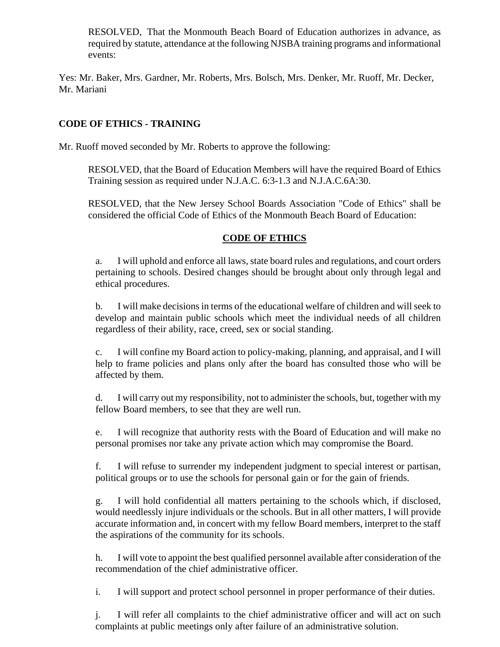RESOLVED, That the Monmouth Beach Board of Education authorizes in advance, as required by statute, attendance at the following NJSBA training programs and informational events:

Yes: Mr. Baker, Mrs. Gardner, Mr. Roberts, Mrs. Bolsch, Mrs. Denker, Mr. Ruoff, Mr. Decker, Mr. Mariani

# **CODE OF ETHICS - TRAINING**

Mr. Ruoff moved seconded by Mr. Roberts to approve the following:

RESOLVED, that the Board of Education Members will have the required Board of Ethics Training session as required under N.J.A.C. 6:3-1.3 and N.J.A.C.6A:30.

RESOLVED, that the New Jersey School Boards Association "Code of Ethics" shall be considered the official Code of Ethics of the Monmouth Beach Board of Education:

## **CODE OF ETHICS**

a. I will uphold and enforce all laws, state board rules and regulations, and court orders pertaining to schools. Desired changes should be brought about only through legal and ethical procedures.

b. I will make decisions in terms of the educational welfare of children and will seek to develop and maintain public schools which meet the individual needs of all children regardless of their ability, race, creed, sex or social standing.

c. I will confine my Board action to policy-making, planning, and appraisal, and I will help to frame policies and plans only after the board has consulted those who will be affected by them.

d. I will carry out my responsibility, not to administer the schools, but, together with my fellow Board members, to see that they are well run.

e. I will recognize that authority rests with the Board of Education and will make no personal promises nor take any private action which may compromise the Board.

f. I will refuse to surrender my independent judgment to special interest or partisan, political groups or to use the schools for personal gain or for the gain of friends.

g. I will hold confidential all matters pertaining to the schools which, if disclosed, would needlessly injure individuals or the schools. But in all other matters, I will provide accurate information and, in concert with my fellow Board members, interpret to the staff the aspirations of the community for its schools.

h. I will vote to appoint the best qualified personnel available after consideration of the recommendation of the chief administrative officer.

i. I will support and protect school personnel in proper performance of their duties.

j. I will refer all complaints to the chief administrative officer and will act on such complaints at public meetings only after failure of an administrative solution.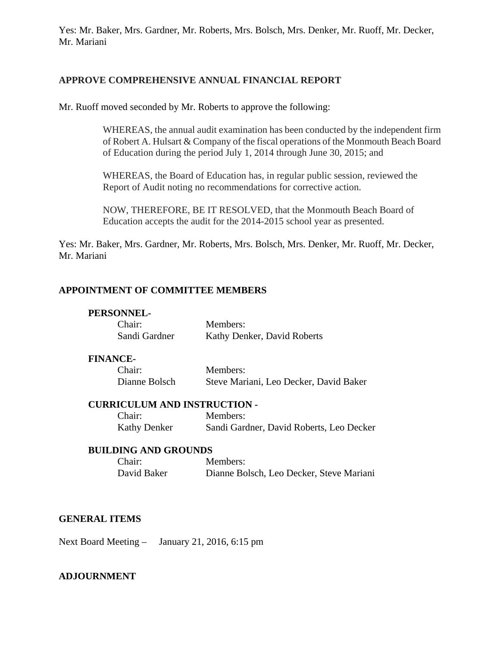Yes: Mr. Baker, Mrs. Gardner, Mr. Roberts, Mrs. Bolsch, Mrs. Denker, Mr. Ruoff, Mr. Decker, Mr. Mariani

#### **APPROVE COMPREHENSIVE ANNUAL FINANCIAL REPORT**

Mr. Ruoff moved seconded by Mr. Roberts to approve the following:

WHEREAS, the annual audit examination has been conducted by the independent firm of Robert A. Hulsart & Company of the fiscal operations of the Monmouth Beach Board of Education during the period July 1, 2014 through June 30, 2015; and

WHEREAS, the Board of Education has, in regular public session, reviewed the Report of Audit noting no recommendations for corrective action.

NOW, THEREFORE, BE IT RESOLVED, that the Monmouth Beach Board of Education accepts the audit for the 2014-2015 school year as presented.

Yes: Mr. Baker, Mrs. Gardner, Mr. Roberts, Mrs. Bolsch, Mrs. Denker, Mr. Ruoff, Mr. Decker, Mr. Mariani

### **APPOINTMENT OF COMMITTEE MEMBERS**

#### **PERSONNEL-**

| Chair:        | Members:                    |
|---------------|-----------------------------|
| Sandi Gardner | Kathy Denker, David Roberts |

#### **FINANCE-**

| Chair:        | Members:                               |
|---------------|----------------------------------------|
| Dianne Bolsch | Steve Mariani, Leo Decker, David Baker |

#### **CURRICULUM AND INSTRUCTION -**

| Chair:       | Members:                                 |
|--------------|------------------------------------------|
| Kathy Denker | Sandi Gardner, David Roberts, Leo Decker |

#### **BUILDING AND GROUNDS**

| Chair:      | Members:                                 |
|-------------|------------------------------------------|
| David Baker | Dianne Bolsch, Leo Decker, Steve Mariani |

#### **GENERAL ITEMS**

Next Board Meeting – January 21, 2016, 6:15 pm

#### **ADJOURNMENT**